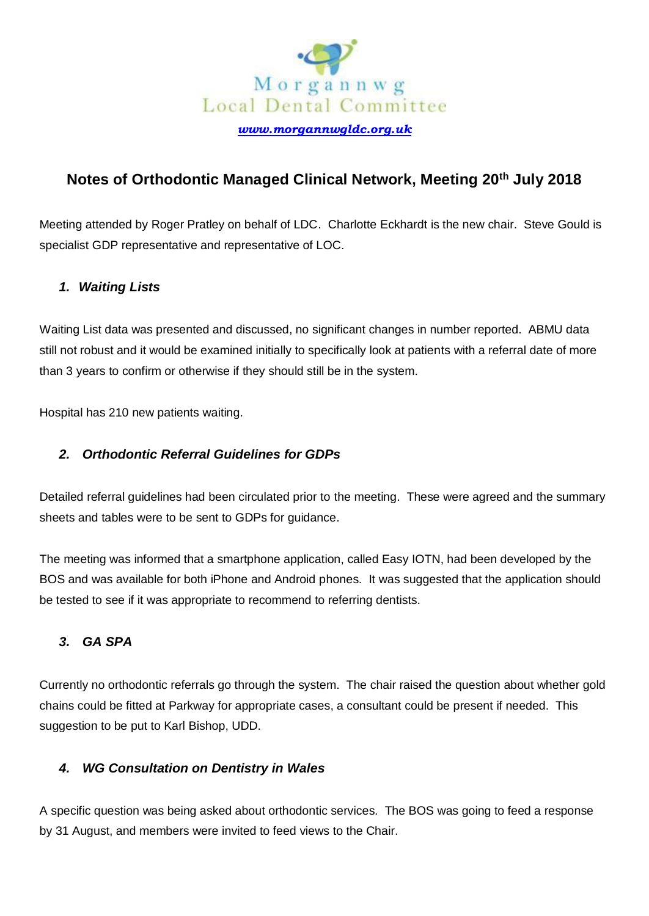

# **Notes of Orthodontic Managed Clinical Network, Meeting 20th July 2018**

Meeting attended by Roger Pratley on behalf of LDC. Charlotte Eckhardt is the new chair. Steve Gould is specialist GDP representative and representative of LOC.

## *1. Waiting Lists*

Waiting List data was presented and discussed, no significant changes in number reported. ABMU data still not robust and it would be examined initially to specifically look at patients with a referral date of more than 3 years to confirm or otherwise if they should still be in the system.

Hospital has 210 new patients waiting.

#### *2. Orthodontic Referral Guidelines for GDPs*

Detailed referral guidelines had been circulated prior to the meeting. These were agreed and the summary sheets and tables were to be sent to GDPs for guidance.

The meeting was informed that a smartphone application, called Easy IOTN, had been developed by the BOS and was available for both iPhone and Android phones. It was suggested that the application should be tested to see if it was appropriate to recommend to referring dentists.

## *3. GA SPA*

Currently no orthodontic referrals go through the system. The chair raised the question about whether gold chains could be fitted at Parkway for appropriate cases, a consultant could be present if needed. This suggestion to be put to Karl Bishop, UDD.

## *4. WG Consultation on Dentistry in Wales*

A specific question was being asked about orthodontic services. The BOS was going to feed a response by 31 August, and members were invited to feed views to the Chair.